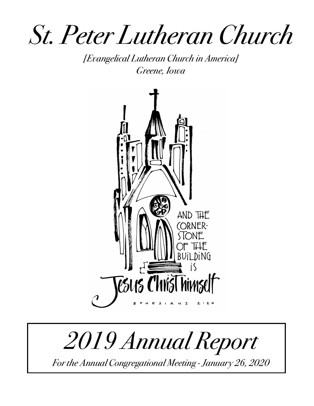*St. Peter Lutheran Church*

*[Evangelical Lutheran Church in America] Greene, Iowa* 



# *2019 Annual Report*

*For the Annual Congregational Meeting - January 26, 2020*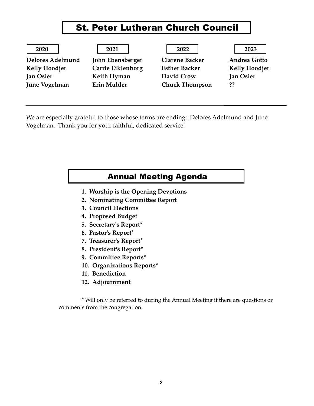# St. Peter Lutheran Church Council

| 2020                    | 2021                     | 2022                  | 2023                 |
|-------------------------|--------------------------|-----------------------|----------------------|
| <b>Delores Adelmund</b> | John Ebensberger         | <b>Clarene Backer</b> | <b>Andrea Gotto</b>  |
| <b>Kelly Hoodjer</b>    | <b>Carrie Eiklenborg</b> | <b>Esther Backer</b>  | <b>Kelly Hoodjer</b> |
| <b>Jan Osier</b>        | Keith Hyman              | David Crow            | <b>Jan Osier</b>     |
| <b>June Vogelman</b>    | Erin Mulder              | <b>Chuck Thompson</b> | ??                   |
|                         |                          |                       |                      |

We are especially grateful to those whose terms are ending: Delores Adelmund and June Vogelman. Thank you for your faithful, dedicated service!

#### Annual Meeting Agenda

- **1. Worship is the Opening Devotions**
- **2. Nominating Committee Report**
- **3. Council Elections**
- **4. Proposed Budget**
- **5. Secretary's Report\***
- **6. Pastor's Report\***
- **7. Treasurer's Report\***
- **8. President's Report\***
- **9. Committee Reports\***
- **10. Organizations Reports\***
- **11. Benediction**
- **12. Adjournment**

\* Will only be referred to during the Annual Meeting if there are questions or comments from the congregation.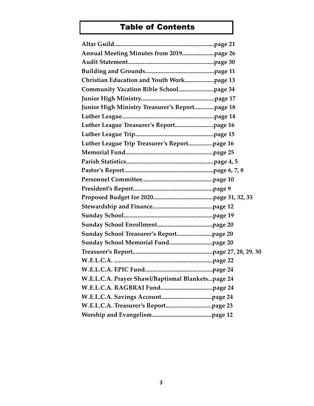# Table of Contents

| Christian Education and Youth Workpage 13         |  |
|---------------------------------------------------|--|
|                                                   |  |
|                                                   |  |
| Junior High Ministry Treasurer's Reportpage 18    |  |
|                                                   |  |
|                                                   |  |
|                                                   |  |
| Luther League Trip Treasurer's Reportpage 16      |  |
|                                                   |  |
|                                                   |  |
|                                                   |  |
|                                                   |  |
|                                                   |  |
|                                                   |  |
|                                                   |  |
|                                                   |  |
|                                                   |  |
|                                                   |  |
|                                                   |  |
|                                                   |  |
|                                                   |  |
|                                                   |  |
| W.E.L.C.A. Prayer Shawl/Baptismal Blanketspage 24 |  |
|                                                   |  |
|                                                   |  |
|                                                   |  |
|                                                   |  |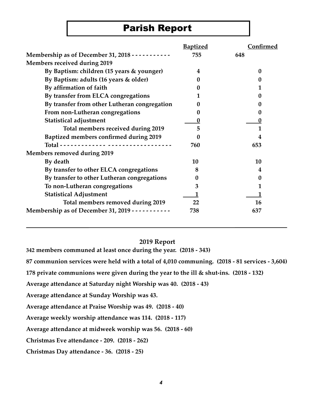# Parish Report

|                                                          | <b>Baptized</b> | <b>Confirmed</b> |
|----------------------------------------------------------|-----------------|------------------|
| Membership as of December 31, 2018 - - - - - - - - - - - | 755             | 648              |
| <b>Members received during 2019</b>                      |                 |                  |
| By Baptism: children (15 years & younger)                | 4               | 0                |
| By Baptism: adults (16 years & older)                    | 0               | $\mathbf{0}$     |
| By affirmation of faith                                  | 0               |                  |
| By transfer from ELCA congregations                      |                 |                  |
| By transfer from other Lutheran congregation             |                 |                  |
| From non-Lutheran congregations                          | 0               | 0                |
| <b>Statistical adjustment</b>                            | 0               | 0                |
| Total members received during 2019                       | 5               |                  |
| Baptized members confirmed during 2019                   |                 | 4                |
|                                                          | 760             | 653              |
| <b>Members removed during 2019</b>                       |                 |                  |
| By death                                                 | 10              | 10               |
| By transfer to other ELCA congregations                  | 8               | 4                |
| By transfer to other Lutheran congregations              | 0               | 0                |
| To non-Lutheran congregations                            | 3               |                  |
| <b>Statistical Adjustment</b>                            |                 |                  |
| Total members removed during 2019                        | 22              | 16               |
| Membership as of December 31, 2019 - - - - - - - - - - - | 738             | 637              |

#### **2019 Report**

**342 members communed at least once during the year. (2018 - 343)**

**87 communion services were held with a total of 4,010 communing. (2018 - 81 services - 3,604)**

**178 private communions were given during the year to the ill & shut-ins. (2018 - 132)**

**Average attendance at Saturday night Worship was 40. (2018 - 43)**

**Average attendance at Sunday Worship was 43.** 

**Average attendance at Praise Worship was 49. (2018 - 40)** 

**Average weekly worship attendance was 114. (2018 - 117)** 

**Average attendance at midweek worship was 56. (2018 - 60)**

**Christmas Eve attendance - 209. (2018 - 262)**

**Christmas Day attendance - 36. (2018 - 25)**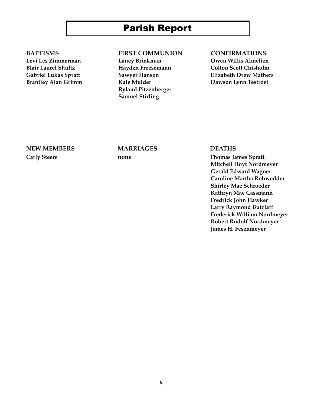# Parish Report

Brantley Alan Grimm **Kale Mulder Communist Communist Communist Communist Communist Communist Communist Communist Communist Communist Communist Communist Communist Communist Communist Communist Communist Communist Communi** 

#### **BAPTISMS FIRST COMMUNION CONFIRMATIONS**

**Ryland Pitzenberger Samuel Stirling**

**Levi Les Zimmerman Laney Brinkman Owen Willis Almelien Blair Laurel Shultz Hayden Freesemann Colton Scott Chisholm Gabriel Lukas Spratt Sawyer Hanson Elizabeth Drew Mathers**

#### **NEW MEMBERS MARRIAGES DEATHS**

**Carly Steere none Thomas James Spratt Mitchell Hoyt Nordmeyer Gerald Edward Wagner Caroline Martha Rohwedder Shirley Mae Schroeder Kathryn Mae Cassmann Fredrick John Hawker Larry Raymond Butzlaff Frederick William Nordmeyer Robert Rudolf Nordmeyer James H. Fesenmeyer**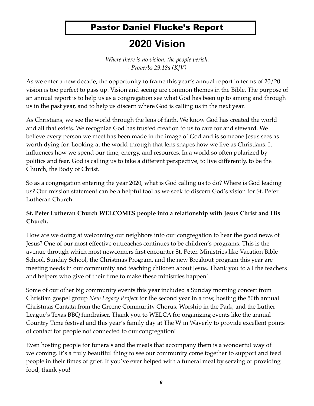# Pastor Daniel Flucke's Report

# **2020 Vision**

*Where there is no vision, the people perish. - Proverbs 29:18a (KJV)*

As we enter a new decade, the opportunity to frame this year's annual report in terms of 20/20 vision is too perfect to pass up. Vision and seeing are common themes in the Bible. The purpose of an annual report is to help us as a congregation see what God has been up to among and through us in the past year, and to help us discern where God is calling us in the next year.

As Christians, we see the world through the lens of faith. We know God has created the world and all that exists. We recognize God has trusted creation to us to care for and steward. We believe every person we meet has been made in the image of God and is someone Jesus sees as worth dying for. Looking at the world through that lens shapes how we live as Christians. It influences how we spend our time, energy, and resources. In a world so often polarized by politics and fear, God is calling us to take a different perspective, to live differently, to be the Church, the Body of Christ.

So as a congregation entering the year 2020, what is God calling us to do? Where is God leading us? Our mission statement can be a helpful tool as we seek to discern God's vision for St. Peter Lutheran Church.

#### **St. Peter Lutheran Church WELCOMES people into a relationship with Jesus Christ and His Church.**

How are we doing at welcoming our neighbors into our congregation to hear the good news of Jesus? One of our most effective outreaches continues to be children's programs. This is the avenue through which most newcomers first encounter St. Peter. Ministries like Vacation Bible School, Sunday School, the Christmas Program, and the new Breakout program this year are meeting needs in our community and teaching children about Jesus. Thank you to all the teachers and helpers who give of their time to make these ministries happen!

Some of our other big community events this year included a Sunday morning concert from Christian gospel group *New Legacy Project* for the second year in a row, hosting the 50th annual Christmas Cantata from the Greene Community Chorus, Worship in the Park, and the Luther League's Texas BBQ fundraiser. Thank you to WELCA for organizing events like the annual Country Time festival and this year's family day at The W in Waverly to provide excellent points of contact for people not connected to our congregation!

Even hosting people for funerals and the meals that accompany them is a wonderful way of welcoming. It's a truly beautiful thing to see our community come together to support and feed people in their times of grief. If you've ever helped with a funeral meal by serving or providing food, thank you!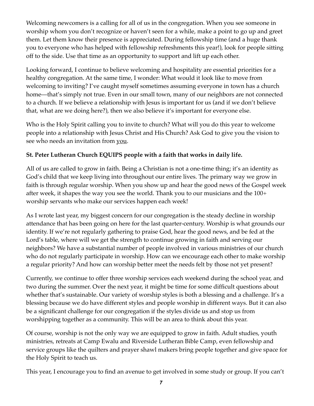Welcoming newcomers is a calling for all of us in the congregation. When you see someone in worship whom you don't recognize or haven't seen for a while, make a point to go up and greet them. Let them know their presence is appreciated. During fellowship time (and a huge thank you to everyone who has helped with fellowship refreshments this year!), look for people sitting off to the side. Use that time as an opportunity to support and lift up each other.

Looking forward, I continue to believe welcoming and hospitality are essential priorities for a healthy congregation. At the same time, I wonder: What would it look like to move from welcoming to inviting? I've caught myself sometimes assuming everyone in town has a church home—that's simply not true. Even in our small town, many of our neighbors are not connected to a church. If we believe a relationship with Jesus is important for us (and if we don't believe that, what are we doing here?), then we also believe it's important for everyone else.

Who is the Holy Spirit calling you to invite to church? What will you do this year to welcome people into a relationship with Jesus Christ and His Church? Ask God to give you the vision to see who needs an invitation from you.

#### **St. Peter Lutheran Church EQUIPS people with a faith that works in daily life.**

All of us are called to grow in faith. Being a Christian is not a one-time thing; it's an identity as God's child that we keep living into throughout our entire lives. The primary way we grow in faith is through regular worship. When you show up and hear the good news of the Gospel week after week, it shapes the way you see the world. Thank you to our musicians and the 100+ worship servants who make our services happen each week!

As I wrote last year, my biggest concern for our congregation is the steady decline in worship attendance that has been going on here for the last quarter-century. Worship is what grounds our identity. If we're not regularly gathering to praise God, hear the good news, and be fed at the Lord's table, where will we get the strength to continue growing in faith and serving our neighbors? We have a substantial number of people involved in various ministries of our church who do not regularly participate in worship. How can we encourage each other to make worship a regular priority? And how can worship better meet the needs felt by those not yet present?

Currently, we continue to offer three worship services each weekend during the school year, and two during the summer. Over the next year, it might be time for some difficult questions about whether that's sustainable. Our variety of worship styles is both a blessing and a challenge. It's a blessing because we do have different styles and people worship in different ways. But it can also be a significant challenge for our congregation if the styles divide us and stop us from worshipping together as a community. This will be an area to think about this year.

Of course, worship is not the only way we are equipped to grow in faith. Adult studies, youth ministries, retreats at Camp Ewalu and Riverside Lutheran Bible Camp, even fellowship and service groups like the quilters and prayer shawl makers bring people together and give space for the Holy Spirit to teach us.

This year, I encourage you to find an avenue to get involved in some study or group. If you can't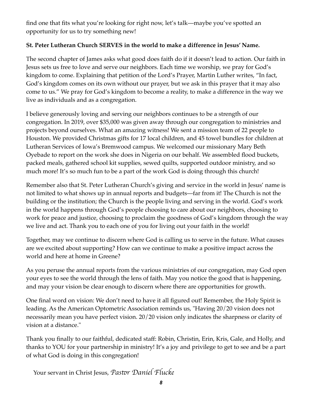find one that fits what you're looking for right now, let's talk—maybe you've spotted an opportunity for us to try something new!

#### **St. Peter Lutheran Church SERVES in the world to make a difference in Jesus' Name.**

The second chapter of James asks what good does faith do if it doesn't lead to action. Our faith in Jesus sets us free to love and serve our neighbors. Each time we worship, we pray for God's kingdom to come. Explaining that petition of the Lord's Prayer, Martin Luther writes, "In fact, God's kingdom comes on its own without our prayer, but we ask in this prayer that it may also come to us." We pray for God's kingdom to become a reality, to make a difference in the way we live as individuals and as a congregation.

I believe generously loving and serving our neighbors continues to be a strength of our congregation. In 2019, over \$35,000 was given away through our congregation to ministries and projects beyond ourselves. What an amazing witness! We sent a mission team of 22 people to Houston. We provided Christmas gifts for 17 local children, and 45 towel bundles for children at Lutheran Services of Iowa's Bremwood campus. We welcomed our missionary Mary Beth Oyebade to report on the work she does in Nigeria on our behalf. We assembled flood buckets, packed meals, gathered school kit supplies, sewed quilts, supported outdoor ministry, and so much more! It's so much fun to be a part of the work God is doing through this church!

Remember also that St. Peter Lutheran Church's giving and service in the world in Jesus' name is not limited to what shows up in annual reports and budgets—far from it! The Church is not the building or the institution; the Church is the people living and serving in the world. God's work in the world happens through God's people choosing to care about our neighbors, choosing to work for peace and justice, choosing to proclaim the goodness of God's kingdom through the way we live and act. Thank you to each one of you for living out your faith in the world!

Together, may we continue to discern where God is calling us to serve in the future. What causes are we excited about supporting? How can we continue to make a positive impact across the world and here at home in Greene?

As you peruse the annual reports from the various ministries of our congregation, may God open your eyes to see the world through the lens of faith. May you notice the good that is happening, and may your vision be clear enough to discern where there are opportunities for growth.

One final word on vision: We don't need to have it all figured out! Remember, the Holy Spirit is leading. As the American Optometric Association reminds us, "Having 20/20 vision does not necessarily mean you have perfect vision. 20/20 vision only indicates the sharpness or clarity of vision at a distance."

Thank you finally to our faithful, dedicated staff: Robin, Christin, Erin, Kris, Gale, and Holly, and thanks to YOU for your partnership in ministry! It's a joy and privilege to get to see and be a part of what God is doing in this congregation!

Your servant in Christ Jesus, *Pas*!*r Daniel Flucke*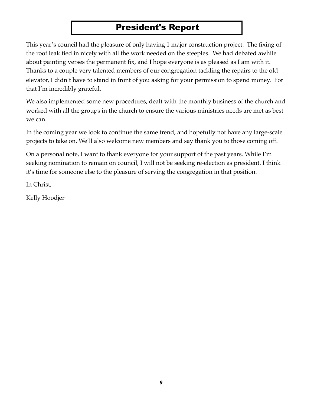# President's Report

This year's council had the pleasure of only having 1 major construction project. The fixing of the roof leak tied in nicely with all the work needed on the steeples. We had debated awhile about painting verses the permanent fix, and I hope everyone is as pleased as I am with it. Thanks to a couple very talented members of our congregation tackling the repairs to the old elevator, I didn't have to stand in front of you asking for your permission to spend money. For that I'm incredibly grateful.

We also implemented some new procedures, dealt with the monthly business of the church and worked with all the groups in the church to ensure the various ministries needs are met as best we can.

In the coming year we look to continue the same trend, and hopefully not have any large-scale projects to take on. We'll also welcome new members and say thank you to those coming off.

On a personal note, I want to thank everyone for your support of the past years. While I'm seeking nomination to remain on council, I will not be seeking re-election as president. I think it's time for someone else to the pleasure of serving the congregation in that position.

In Christ,

Kelly Hoodjer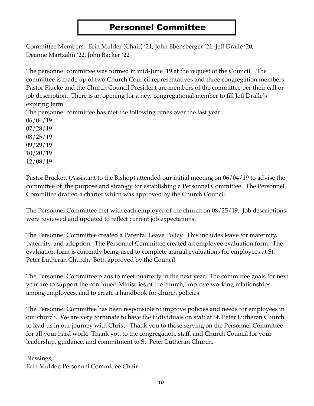### Personnel Committee

Committee Members: Erin Mulder (Chair) '21, John Ebensberger '21, Jeff Dralle '20, Deanne Martzahn '22, John Backer '22

The personnel committee was formed in mid-June '19 at the request of the Council. The committee is made up of two Church Council representatives and three congregation members. Pastor Flucke and the Church Council President are members of the committee per their call or job description. There is an opening for a new congregational member to fill Jeff Dralle's expiring term.

The personnel committee has met the following times over the last year:

06/04/19 07/28/19 08/25/19

- 09/29/19
- 10/20/19
- 12/08/19

Pastor Brackett (Assistant to the Bishop) attended our initial meeting on 06/04/19 to advise the committee of the purpose and strategy for establishing a Personnel Committee. The Personnel Committee drafted a charter which was approved by the Church Council.

The Personnel Committee met with each employee of the church on 08/25/19. Job descriptions were reviewed and updated to reflect current job expectations.

The Personnel Committee created a Parental Leave Policy. This includes leave for maternity, paternity, and adoption. The Personnel Committee created an employee evaluation form. The evaluation form is currently being used to complete annual evaluations for employees at St. Peter Lutheran Church. Both approved by the Council

The Personnel Committee plans to meet quarterly in the next year. The committee goals for next year are to support the continued Ministries of the church, improve working relationships among employees, and to create a handbook for church policies.

The Personnel Committee has been responsible to improve policies and needs for employees in our church. We are very fortunate to have the individuals on staff at St. Peter Lutheran Church to lead us in our journey with Christ. Thank you to those serving on the Personnel Committee for all your hard work. Thank you to the congregation, staff, and Church Council for your leadership, guidance, and commitment to St. Peter Lutheran Church.

Blessings, Erin Mulder, Personnel Committee Chair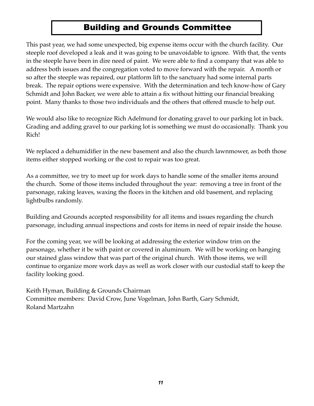# Building and Grounds Committee

This past year, we had some unexpected, big expense items occur with the church facility. Our steeple roof developed a leak and it was going to be unavoidable to ignore. With that, the vents in the steeple have been in dire need of paint. We were able to find a company that was able to address both issues and the congregation voted to move forward with the repair. A month or so after the steeple was repaired, our platform lift to the sanctuary had some internal parts break. The repair options were expensive. With the determination and tech know-how of Gary Schmidt and John Backer, we were able to attain a fix without hitting our financial breaking point. Many thanks to those two individuals and the others that offered muscle to help out.

We would also like to recognize Rich Adelmund for donating gravel to our parking lot in back. Grading and adding gravel to our parking lot is something we must do occasionally. Thank you Rich!

We replaced a dehumidifier in the new basement and also the church lawnmower, as both those items either stopped working or the cost to repair was too great.

As a committee, we try to meet up for work days to handle some of the smaller items around the church. Some of those items included throughout the year: removing a tree in front of the parsonage, raking leaves, waxing the floors in the kitchen and old basement, and replacing lightbulbs randomly.

Building and Grounds accepted responsibility for all items and issues regarding the church parsonage, including annual inspections and costs for items in need of repair inside the house.

For the coming year, we will be looking at addressing the exterior window trim on the parsonage, whether it be with paint or covered in aluminum. We will be working on hanging our stained glass window that was part of the original church. With those items, we will continue to organize more work days as well as work closer with our custodial staff to keep the facility looking good.

Keith Hyman, Building & Grounds Chairman Committee members: David Crow, June Vogelman, John Barth, Gary Schmidt, Roland Martzahn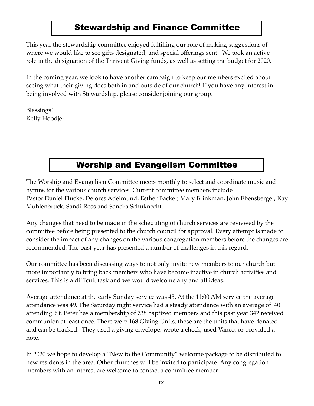### Stewardship and Finance Committee

This year the stewardship committee enjoyed fulfilling our role of making suggestions of where we would like to see gifts designated, and special offerings sent. We took an active role in the designation of the Thrivent Giving funds, as well as setting the budget for 2020.

In the coming year, we look to have another campaign to keep our members excited about seeing what their giving does both in and outside of our church! If you have any interest in being involved with Stewardship, please consider joining our group.

Blessings! Kelly Hoodjer

# Worship and Evangelism Committee

The Worship and Evangelism Committee meets monthly to select and coordinate music and hymns for the various church services. Current committee members include Pastor Daniel Flucke, Delores Adelmund, Esther Backer, Mary Brinkman, John Ebensberger, Kay Muhlenbruck, Sandi Ross and Sandra Schuknecht.

Any changes that need to be made in the scheduling of church services are reviewed by the committee before being presented to the church council for approval. Every attempt is made to consider the impact of any changes on the various congregation members before the changes are recommended. The past year has presented a number of challenges in this regard.

Our committee has been discussing ways to not only invite new members to our church but more importantly to bring back members who have become inactive in church activities and services. This is a difficult task and we would welcome any and all ideas.

Average attendance at the early Sunday service was 43. At the 11:00 AM service the average attendance was 49. The Saturday night service had a steady attendance with an average of 40 attending. St. Peter has a membership of 738 baptized members and this past year 342 received communion at least once. There were 168 Giving Units, these are the units that have donated and can be tracked. They used a giving envelope, wrote a check, used Vanco, or provided a note.

In 2020 we hope to develop a "New to the Community" welcome package to be distributed to new residents in the area. Other churches will be invited to participate. Any congregation members with an interest are welcome to contact a committee member.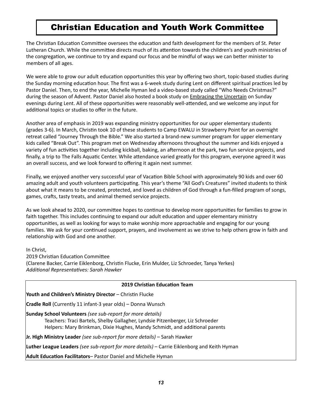# Christian Education and Youth Work Committee

The Christian Education Committee oversees the education and faith development for the members of St. Peter Lutheran Church. While the committee directs much of its attention towards the children's and youth ministries of the congregation, we continue to try and expand our focus and be mindful of ways we can better minister to members of all ages.

We were able to grow our adult education opportunities this year by offering two short, topic-based studies during the Sunday morning education hour. The first was a 6-week study during Lent on different spiritual practices led by Pastor Daniel. Then, to end the year, Michelle Hyman led a video-based study called "Who Needs Christmas?" during the season of Advent. Pastor Daniel also hosted a book study on Embracing the Uncertain on Sunday evenings during Lent. All of these opportunities were reasonably well-attended, and we welcome any input for additional topics or studies to offer in the future.

Another area of emphasis in 2019 was expanding ministry opportunities for our upper elementary students (grades 3-6). In March, Christin took 10 of these students to Camp EWALU in Strawberry Point for an overnight retreat called "Journey Through the Bible." We also started a brand-new summer program for upper elementary kids called "Break Out". This program met on Wednesday afternoons throughout the summer and kids enjoyed a variety of fun activities together including kickball, baking, an afternoon at the park, two fun service projects, and finally, a trip to The Falls Aquatic Center. While attendance varied greatly for this program, everyone agreed it was an overall success, and we look forward to offering it again next summer.

Finally, we enjoyed another very successful year of Vacation Bible School with approximately 90 kids and over 60 amazing adult and youth volunteers participating. This year's theme "All God's Creatures" invited students to think about what it means to be created, protected, and loved as children of God through a fun-filled program of songs, games, crafts, tasty treats, and animal themed service projects.

As we look ahead to 2020, our committee hopes to continue to develop more opportunities for families to grow in faith together. This includes continuing to expand our adult education and upper elementary ministry opportunities, as well as looking for ways to make worship more approachable and engaging for our young families. We ask for your continued support, prayers, and involvement as we strive to help others grow in faith and relationship with God and one another.

In Christ, 

2019 Christian Education Committee (Clarene Backer, Carrie Eiklenborg, Christin Flucke, Erin Mulder, Liz Schroeder, Tanya Yerkes) **Additional Representatives: Sarah Hawker** 

#### **2019 Christian Education Team**

**Youth and Children's Ministry Director** – Christin Flucke

**Cradle Roll** (Currently 11 infant-3 year olds) – Donna Wunsch

**Sunday School Volunteers** (see sub-report for more details)

Teachers: Traci Bartels, Shelby Gallagher, Lyndsie Pitzenberger, Liz Schroeder Helpers: Mary Brinkman, Dixie Hughes, Mandy Schmidt, and additional parents

**Jr. High Ministry Leader** (see sub-report for more details) – Sarah Hawker

**Luther League Leaders** (see sub-report for more details) – Carrie Eiklenborg and Keith Hyman

**Adult Education Facilitators-** Pastor Daniel and Michelle Hyman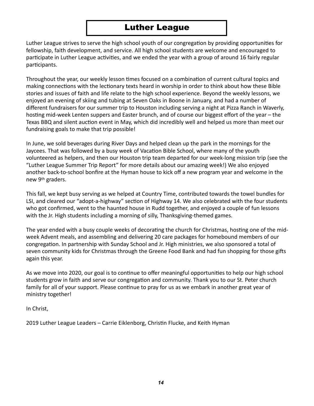#### Luther League

Luther League strives to serve the high school youth of our congregation by providing opportunities for fellowship, faith development, and service. All high school students are welcome and encouraged to participate in Luther League activities, and we ended the year with a group of around 16 fairly regular participants.

Throughout the year, our weekly lesson times focused on a combination of current cultural topics and making connections with the lectionary texts heard in worship in order to think about how these Bible stories and issues of faith and life relate to the high school experience. Beyond the weekly lessons, we enjoyed an evening of skiing and tubing at Seven Oaks in Boone in January, and had a number of different fundraisers for our summer trip to Houston including serving a night at Pizza Ranch in Waverly, hosting mid-week Lenten suppers and Easter brunch, and of course our biggest effort of the year – the Texas BBQ and silent auction event in May, which did incredibly well and helped us more than meet our fundraising goals to make that trip possible!

In June, we sold beverages during River Days and helped clean up the park in the mornings for the Jaycees. That was followed by a busy week of Vacation Bible School, where many of the youth volunteered as helpers, and then our Houston trip team departed for our week-long mission trip (see the "Luther League Summer Trip Report" for more details about our amazing week!) We also enjoyed another back-to-school bonfire at the Hyman house to kick off a new program year and welcome in the new 9<sup>th</sup> graders.

This fall, we kept busy serving as we helped at Country Time, contributed towards the towel bundles for LSI, and cleared our "adopt-a-highway" section of Highway 14. We also celebrated with the four students who got confirmed, went to the haunted house in Rudd together, and enjoyed a couple of fun lessons with the Jr. High students including a morning of silly, Thanksgiving-themed games.

The year ended with a busy couple weeks of decorating the church for Christmas, hosting one of the midweek Advent meals, and assembling and delivering 20 care packages for homebound members of our congregation. In partnership with Sunday School and Jr. High ministries, we also sponsored a total of seven community kids for Christmas through the Greene Food Bank and had fun shopping for those gifts again this year.

As we move into 2020, our goal is to continue to offer meaningful opportunities to help our high school students grow in faith and serve our congregation and community. Thank you to our St. Peter church family for all of your support. Please continue to pray for us as we embark in another great year of ministry together!

In Christ, 

2019 Luther League Leaders – Carrie Eiklenborg, Christin Flucke, and Keith Hyman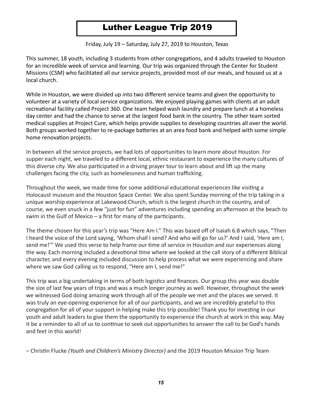# Luther League Trip 2019

Friday, July 19 - Saturday, July 27, 2019 to Houston, Texas

This summer, 18 youth, including 3 students from other congregations, and 4 adults traveled to Houston for an incredible week of service and learning. Our trip was organized through the Center for Student Missions (CSM) who facilitated all our service projects, provided most of our meals, and housed us at a local church.

While in Houston, we were divided up into two different service teams and given the opportunity to volunteer at a variety of local service organizations. We enjoyed playing games with clients at an adult recreational facility called Project 360. One team helped wash laundry and prepare lunch at a homeless day center and had the chance to serve at the largest food bank in the country. The other team sorted medical supplies at Project Cure, which helps provide supplies to developing countries all over the world. Both groups worked together to re-package batteries at an area food bank and helped with some simple home renovation projects.

In between all the service projects, we had lots of opportunities to learn more about Houston. For supper each night, we traveled to a different local, ethnic restaurant to experience the many cultures of this diverse city. We also participated in a driving prayer tour to learn about and lift up the many challenges facing the city, such as homelessness and human trafficking.

Throughout the week, we made time for some additional educational experiences like visiting a Holocaust museum and the Houston Space Center. We also spent Sunday morning of the trip taking in a unique worship experience at Lakewood Church, which is the largest church in the country, and of course, we even snuck in a few "just for fun" adventures including spending an afternoon at the beach to swim in the Gulf of Mexico – a first for many of the participants.

The theme chosen for this year's trip was "Here Am I." This was based off of Isaiah 6:8 which says, "Then I heard the voice of the Lord saying, 'Whom shall I send? And who will go for us?' And I said, 'Here am I, send me!"" We used this verse to help frame our time of service in Houston and our experiences along the way. Each morning included a devotional time where we looked at the call story of a different Biblical character, and every evening included discussion to help process what we were experiencing and share where we saw God calling us to respond, "Here am I, send me!"

This trip was a big undertaking in terms of both logistics and finances. Our group this year was double the size of last few years of trips and was a much longer journey as well. However, throughout the week we witnessed God doing amazing work through all of the people we met and the places we served. It was truly an eye-opening experience for all of our participants, and we are incredibly grateful to this congregation for all of your support in helping make this trip possible! Thank you for investing in our youth and adult leaders to give them the opportunity to experience the church at work in this way. May it be a reminder to all of us to continue to seek out opportunities to answer the call to be God's hands and feet in this world!

- Christin Flucke *(Youth and Children's Ministry Director)* and the 2019 Houston Mission Trip Team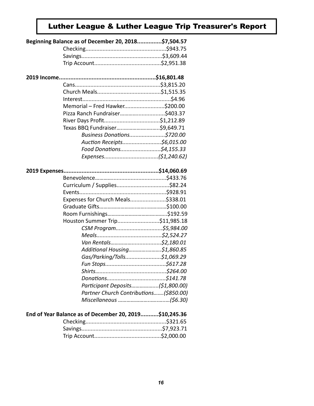# Luther League & Luther League Trip Treasurer's Report

| Beginning Balance as of December 20, 2018\$7,504.57    |  |
|--------------------------------------------------------|--|
|                                                        |  |
|                                                        |  |
|                                                        |  |
|                                                        |  |
|                                                        |  |
|                                                        |  |
|                                                        |  |
|                                                        |  |
| Memorial - Fred Hawker\$200.00                         |  |
|                                                        |  |
|                                                        |  |
|                                                        |  |
| Business Donations\$720.00                             |  |
| Auction Receipts\$6,015.00                             |  |
| Food Donations\$4,155.33                               |  |
|                                                        |  |
|                                                        |  |
|                                                        |  |
|                                                        |  |
|                                                        |  |
|                                                        |  |
| Expenses for Church Meals\$338.01                      |  |
|                                                        |  |
|                                                        |  |
| Houston Summer Trip\$11,985.18                         |  |
|                                                        |  |
|                                                        |  |
|                                                        |  |
| Additional Housing\$1,860.85                           |  |
| Gas/Parking/Tolls\$1,069.29                            |  |
|                                                        |  |
|                                                        |  |
|                                                        |  |
| Participant Deposits(\$1,800.00)                       |  |
| Partner Church Contributions(\$850.00)                 |  |
|                                                        |  |
|                                                        |  |
| End of Year Balance as of December 20, 2019\$10,245.36 |  |
|                                                        |  |
|                                                        |  |
|                                                        |  |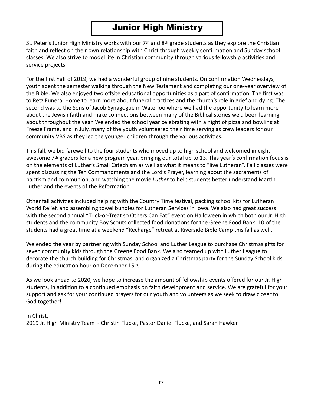### Junior High Ministry

St. Peter's Junior High Ministry works with our  $7<sup>th</sup>$  and  $8<sup>th</sup>$  grade students as they explore the Christian faith and reflect on their own relationship with Christ through weekly confirmation and Sunday school classes. We also strive to model life in Christian community through various fellowship activities and service projects.

For the first half of 2019, we had a wonderful group of nine students. On confirmation Wednesdays, youth spent the semester walking through the New Testament and completing our one-year overview of the Bible. We also enjoyed two offsite educational opportunities as a part of confirmation. The first was to Retz Funeral Home to learn more about funeral practices and the church's role in grief and dying. The second was to the Sons of Jacob Synagogue in Waterloo where we had the opportunity to learn more about the Jewish faith and make connections between many of the Biblical stories we'd been learning about throughout the year. We ended the school year celebrating with a night of pizza and bowling at Freeze Frame, and in July, many of the youth volunteered their time serving as crew leaders for our community VBS as they led the younger children through the various activities.

This fall, we bid farewell to the four students who moved up to high school and welcomed in eight awesome  $7<sup>th</sup>$  graders for a new program year, bringing our total up to 13. This year's confirmation focus is on the elements of Luther's Small Catechism as well as what it means to "live Lutheran". Fall classes were spent discussing the Ten Commandments and the Lord's Prayer, learning about the sacraments of baptism and communion, and watching the movie *Luther* to help students better understand Martin Luther and the events of the Reformation.

Other fall activities included helping with the Country Time festival, packing school kits for Lutheran World Relief, and assembling towel bundles for Lutheran Services in Iowa. We also had great success with the second annual "Trick-or-Treat so Others Can Eat" event on Halloween in which both our Jr. High students and the community Boy Scouts collected food donations for the Greene Food Bank. 10 of the students had a great time at a weekend "Recharge" retreat at Riverside Bible Camp this fall as well.

We ended the year by partnering with Sunday School and Luther League to purchase Christmas gifts for seven community kids through the Greene Food Bank. We also teamed up with Luther League to decorate the church building for Christmas, and organized a Christmas party for the Sunday School kids during the education hour on December 15th.

As we look ahead to 2020, we hope to increase the amount of fellowship events offered for our Jr. High students, in addition to a continued emphasis on faith development and service. We are grateful for your support and ask for your continued prayers for our youth and volunteers as we seek to draw closer to God together!

#### In Christ, 2019 Jr. High Ministry Team - Christin Flucke, Pastor Daniel Flucke, and Sarah Hawker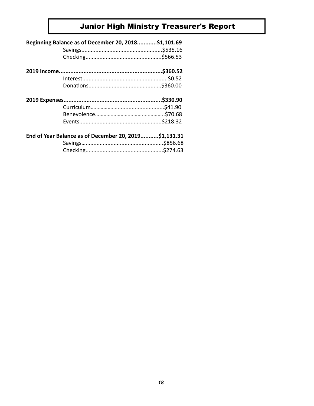# **Junior High Ministry Treasurer's Report**

| Beginning Balance as of December 20, 2018\$1,101.69   |  |
|-------------------------------------------------------|--|
|                                                       |  |
|                                                       |  |
|                                                       |  |
|                                                       |  |
|                                                       |  |
|                                                       |  |
|                                                       |  |
|                                                       |  |
|                                                       |  |
|                                                       |  |
| End of Year Balance as of December 20, 2019\$1,131.31 |  |
|                                                       |  |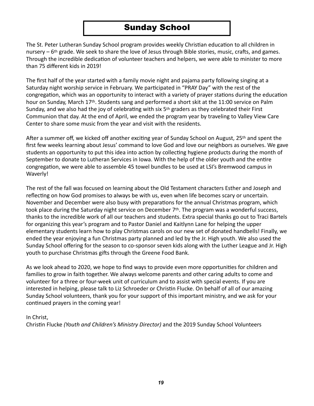#### Sunday School

The St. Peter Lutheran Sunday School program provides weekly Christian education to all children in nursery  $-6$ <sup>th</sup> grade. We seek to share the love of Jesus through Bible stories, music, crafts, and games. Through the incredible dedication of volunteer teachers and helpers, we were able to minister to more than 75 different kids in 2019!

The first half of the year started with a family movie night and pajama party following singing at a Saturday night worship service in February. We participated in "PRAY Day" with the rest of the congregation, which was an opportunity to interact with a variety of prayer stations during the education hour on Sunday, March 17<sup>th</sup>. Students sang and performed a short skit at the 11:00 service on Palm Sunday, and we also had the joy of celebrating with six  $5<sup>th</sup>$  graders as they celebrated their First Communion that day. At the end of April, we ended the program year by traveling to Valley View Care Center to share some music from the year and visit with the residents.

After a summer off, we kicked off another exciting year of Sunday School on August, 25<sup>th</sup> and spent the first few weeks learning about Jesus' command to love God and love our neighbors as ourselves. We gave students an opportunity to put this idea into action by collecting hygiene products during the month of September to donate to Lutheran Services in Iowa. With the help of the older youth and the entire congregation, we were able to assemble 45 towel bundles to be used at LSI's Bremwood campus in Waverly! 

The rest of the fall was focused on learning about the Old Testament characters Esther and Joseph and reflecting on how God promises to always be with us, even when life becomes scary or uncertain. November and December were also busy with preparations for the annual Christmas program, which took place during the Saturday night service on December  $7<sup>th</sup>$ . The program was a wonderful success, thanks to the incredible work of all our teachers and students. Extra special thanks go out to Traci Bartels for organizing this year's program and to Pastor Daniel and Kaitlynn Lane for helping the upper elementary students learn how to play Christmas carols on our new set of donated handbells! Finally, we ended the year enjoying a fun Christmas party planned and led by the Jr. High youth. We also used the Sunday School offering for the season to co-sponsor seven kids along with the Luther League and Jr. High youth to purchase Christmas gifts through the Greene Food Bank.

As we look ahead to 2020, we hope to find ways to provide even more opportunities for children and families to grow in faith together. We always welcome parents and other caring adults to come and volunteer for a three or four-week unit of curriculum and to assist with special events. If you are interested in helping, please talk to Liz Schroeder or Christin Flucke. On behalf of all of our amazing Sunday School volunteers, thank you for your support of this important ministry, and we ask for your continued prayers in the coming year!

In Christ, 

Christin Flucke *(Youth and Children's Ministry Director)* and the 2019 Sunday School Volunteers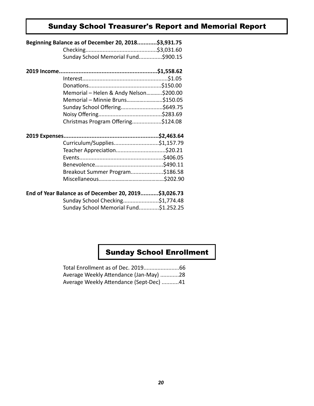#### Sunday School Treasurer's Report and Memorial Report

| Beginning Balance as of December 20, 2018\$3,931.75 |  |
|-----------------------------------------------------|--|
|                                                     |  |
| Sunday School Memorial Fund\$900.15                 |  |
|                                                     |  |
|                                                     |  |
|                                                     |  |
| Memorial - Helen & Andy Nelson\$200.00              |  |
| Memorial - Minnie Bruns\$150.05                     |  |
| Sunday School Offering\$649.75                      |  |
|                                                     |  |
| Christmas Program Offering\$124.08                  |  |
|                                                     |  |
| Curriculum/Supplies\$1,157.79                       |  |
| Teacher Appreciation\$20.21                         |  |
|                                                     |  |
|                                                     |  |
| Breakout Summer Program\$186.58                     |  |
|                                                     |  |

#### **End of Year Balance as of December 20, 2019...........\$3,026.73**

| Sunday School Checking\$1,774.48      |  |
|---------------------------------------|--|
| Sunday School Memorial Fund\$1.252.25 |  |

### Sunday School Enrollment

| Average Weekly Attendance (Jan-May) 28  |  |
|-----------------------------------------|--|
| Average Weekly Attendance (Sept-Dec) 41 |  |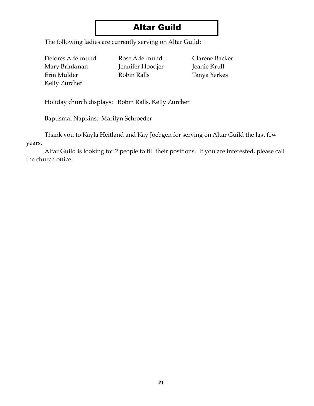# Altar Guild

The following ladies are currently serving on Altar Guild:

Delores Adelmund Rose Adelmund Clarene Backer Mary Brinkman Jennifer Hoodjer Jeanie Krull Erin Mulder Robin Ralls Tanya Yerkes Kelly Zurcher

Holiday church displays: Robin Ralls, Kelly Zurcher

Baptismal Napkins: Marilyn Schroeder

Thank you to Kayla Heitland and Kay Joebgen for serving on Altar Guild the last few years.

Altar Guild is looking for 2 people to fill their positions. If you are interested, please call the church office.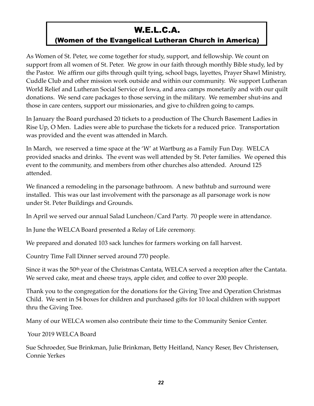# W.E.L.C.A.

#### (Women of the Evangelical Lutheran Church in America)

As Women of St. Peter, we come together for study, support, and fellowship. We count on support from all women of St. Peter. We grow in our faith through monthly Bible study, led by the Pastor. We affirm our gifts through quilt tying, school bags, layettes, Prayer Shawl Ministry, Cuddle Club and other mission work outside and within our community. We support Lutheran World Relief and Lutheran Social Service of Iowa, and area camps monetarily and with our quilt donations. We send care packages to those serving in the military. We remember shut-ins and those in care centers, support our missionaries, and give to children going to camps.

In January the Board purchased 20 tickets to a production of The Church Basement Ladies in Rise Up, O Men. Ladies were able to purchase the tickets for a reduced price. Transportation was provided and the event was attended in March.

In March, we reserved a time space at the 'W' at Wartburg as a Family Fun Day. WELCA provided snacks and drinks. The event was well attended by St. Peter families. We opened this event to the community, and members from other churches also attended. Around 125 attended.

We financed a remodeling in the parsonage bathroom. A new bathtub and surround were installed. This was our last involvement with the parsonage as all parsonage work is now under St. Peter Buildings and Grounds.

In April we served our annual Salad Luncheon/Card Party. 70 people were in attendance.

In June the WELCA Board presented a Relay of Life ceremony.

We prepared and donated 103 sack lunches for farmers working on fall harvest.

Country Time Fall Dinner served around 770 people.

Since it was the 50<sup>th</sup> year of the Christmas Cantata, WELCA served a reception after the Cantata. We served cake, meat and cheese trays, apple cider, and coffee to over 200 people.

Thank you to the congregation for the donations for the Giving Tree and Operation Christmas Child. We sent in 54 boxes for children and purchased gifts for 10 local children with support thru the Giving Tree.

Many of our WELCA women also contribute their time to the Community Senior Center.

Your 2019 WELCA Board

Sue Schroeder, Sue Brinkman, Julie Brinkman, Betty Heitland, Nancy Reser, Bev Christensen, Connie Yerkes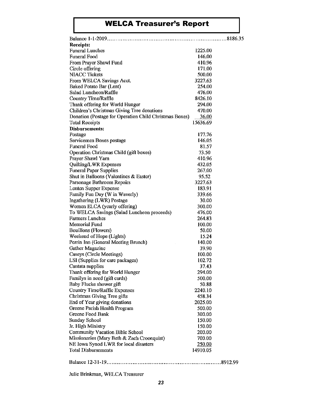# WELCA Treasurer's Report

| <b>Receipts:</b>                                       |              |  |
|--------------------------------------------------------|--------------|--|
| <b>Funeral Lunches</b>                                 | 1225.00      |  |
| <b>Funeral Food</b>                                    | 146.00       |  |
| From Prayer Shawl Fund                                 | 410.96       |  |
| Circle offering                                        | 171.00       |  |
| <b>NIACC Tickets</b>                                   | 500.00       |  |
| From WELCA Savings Acct.                               | 3227.63      |  |
| Baked Potato Bar (Lent)                                | 254.00       |  |
| Salad Luncheon/Raffle                                  | 476.00       |  |
| Country Time/Raffle                                    | 8426.10      |  |
| Thank offering for World Hunger                        | 294.00       |  |
| Children's Christmas Giving Tree donations             | 470.00       |  |
| Donation (Postage for Operation Child Christmas Boxes) | <u>36.00</u> |  |
| <b>Total Receipts</b>                                  | 15636.69     |  |
| <b>Disbursements:</b>                                  |              |  |
| Postage                                                | 177.76       |  |
| Servicemen Boxes postage                               | 146.05       |  |
| <b>Funeral Food</b>                                    | 81.57        |  |
| Operation Christmas Child (gift boxes)                 | 73.50        |  |
| Prayer Shawl Yarn                                      | 410.96       |  |
| Quilting/LWR Expenses                                  | 432.05       |  |
| <b>Funeral Paper Supplies</b>                          | 267.00       |  |
| Shut in Balloons (Valentines & Easter)                 | 95.52        |  |
| Parsonage Bathroom Repairs                             | 3227.63      |  |
| Lenten Supper Expense                                  | 183.91       |  |
| Family Fun Day (W in Waverly)                          | 339.66       |  |
| Ingathering (LWR) Postage                              | 30.00        |  |
| Women ELCA (yearly offering)                           | 300.00       |  |
| To WELCA Savings (Salad Luncheon proceeds)             | 476.00       |  |
| <b>Farmers Lunches</b>                                 | 264.83       |  |
| <b>Memorial Fund</b>                                   | 100.00       |  |
| Bouillons (Flowers)                                    | 50.00        |  |
| Weekend of Hope (Lights)                               | 15.24        |  |
| Perrin Inn (General Meeting Brunch)                    | 140.00       |  |
| <b>Gather Magazine</b>                                 | 39.90        |  |
| Caseys (Circle Meetings)                               | 100.00       |  |
| LSI (Supplies for care packages)                       | 102.72       |  |
| Cantata supplies                                       | 37.43        |  |
| Thank offering for World Hunger                        | 294.00       |  |
| Familys in need (gift cards)                           | 500.00       |  |
| Baby Flucke shower gift                                | 50.88        |  |
| Country Time/Raffle Expenses                           | 2240.10      |  |
| Christmas Giving Tree gifts                            | 458.34       |  |
| End of Year giving donations                           | 2025,00      |  |
| Greene Parish Health Program                           | 500.00       |  |
| Greene Food Bank                                       | 300,00       |  |
| <b>Sunday School</b>                                   | 150.00       |  |
| Jr. High Ministry                                      | 150.00       |  |
| <b>Community Vacation Bible School</b>                 | 200.00       |  |
| Missionaries (Mary Beth & Zach Croonquist)             | 700.00       |  |
| NE Iowa Synod LWR for local disasters                  | 250.00       |  |
| <b>Total Disbursements</b>                             | 14910.05     |  |
|                                                        |              |  |
|                                                        |              |  |

Julie Brinkman, WELCA Treasurer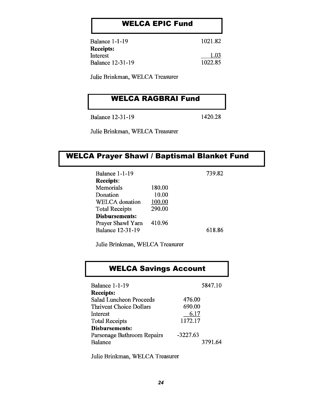#### WELCA EPIC Fund

| <b>Balance 1-1-19</b> | 1021.82 |
|-----------------------|---------|
| <b>Receipts:</b>      |         |
| Interest              | 1.03    |
| Balance 12-31-19      | 1022.85 |
|                       |         |

Julie Brinkman, WELCA Treasurer

#### WELCA RAGBRAI Fund

**Balance 12-31-19** 

1420.28

Julie Brinkman, WELCA Treasurer

#### WELCA Prayer Shawl / Baptismal Blanket Fund

| <b>Balance 1-1-19</b>   |        | 739.82 |  |
|-------------------------|--------|--------|--|
| <b>Receipts:</b>        |        |        |  |
| Memorials               | 180.00 |        |  |
| Donation                | 10.00  |        |  |
| <b>WELCA</b> donation   | 100.00 |        |  |
| <b>Total Receipts</b>   | 290.00 |        |  |
| <b>Disbursements:</b>   |        |        |  |
| Prayer Shawl Yarn       | 410.96 |        |  |
| <b>Balance 12-31-19</b> |        | 618.86 |  |

Julie Brinkman, WELCA Treasurer

#### WELCA Savings Account

| <b>Balance 1-1-19</b>          | 5847.10    |
|--------------------------------|------------|
| <b>Receipts:</b>               |            |
| <b>Salad Luncheon Proceeds</b> | 476.00     |
| <b>Thrivent Choice Dollars</b> | 690.00     |
| Interest                       | 6.17       |
| <b>Total Receipts</b>          | 1172.17    |
| <b>Disbursements:</b>          |            |
| Parsonage Bathroom Repairs     | $-3227.63$ |
| <b>Balance</b>                 | 3791.64    |

Julie Brinkman, WELCA Treasurer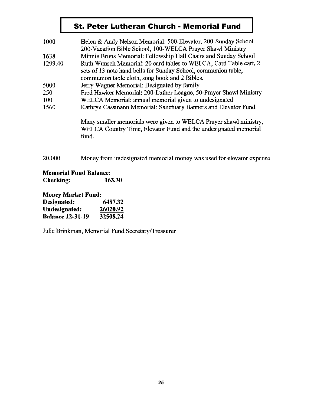#### St. Peter Lutheran Church - Memorial Fund

| 1000    | Helen & Andy Nelson Memorial: 500-Elevator, 200-Sunday School<br>200-Vacation Bible School, 100-WELCA Prayer Shawl Ministry                                                           |  |  |  |  |
|---------|---------------------------------------------------------------------------------------------------------------------------------------------------------------------------------------|--|--|--|--|
| 1638    | Minnie Bruns Memorial: Fellowship Hall Chairs and Sunday School                                                                                                                       |  |  |  |  |
| 1299.40 | Ruth Wunsch Memorial: 20 card tables to WELCA, Card Table cart, 2<br>sets of 13 note hand bells for Sunday School, communion table,<br>communion table cloth, song book and 2 Bibles. |  |  |  |  |
| 5000    | Jerry Wagner Memorial: Designated by family                                                                                                                                           |  |  |  |  |
| 250     | Fred Hawker Memorial: 200-Luther League, 50-Prayer Shawl Ministry                                                                                                                     |  |  |  |  |
| 100     | WELCA Memorial: annual memorial given to undesignated                                                                                                                                 |  |  |  |  |
| 1560    | Kathryn Cassmann Memorial: Sanctuary Banners and Elevator Fund                                                                                                                        |  |  |  |  |
|         | Many smaller memorials were given to WELCA Prayer shawl ministry,<br>WELCA Country Time, Elevator Fund and the undesignated memorial<br>fund.                                         |  |  |  |  |
| 20,000  | Money from undesignated memorial money was used for elevator expense                                                                                                                  |  |  |  |  |

**Memorial Fund Balance: Checking:** 163.30

**Money Market Fund:** Designated: 6487.32 **Undesignated:** 26020.92 **Balance 12-31-19** 32508.24

Julie Brinkman, Memorial Fund Secretary/Treasurer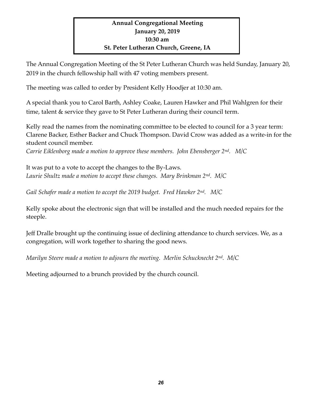#### **Annual Congregational Meeting January 20, 2019 10:30 am St. Peter Lutheran Church, Greene, IA**

The Annual Congregation Meeting of the St Peter Lutheran Church was held Sunday, January 20, 2019 in the church fellowship hall with 47 voting members present.

The meeting was called to order by President Kelly Hoodjer at 10:30 am.

A special thank you to Carol Barth, Ashley Coake, Lauren Hawker and Phil Wahlgren for their time, talent & service they gave to St Peter Lutheran during their council term.

Kelly read the names from the nominating committee to be elected to council for a 3 year term: Clarene Backer, Esther Backer and Chuck Thompson. David Crow was added as a write-in for the student council member.

*Carrie Eiklenborg made a motion to approve these members. John Ebensberger 2nd. M/C*

It was put to a vote to accept the changes to the By-Laws. *Laurie Shultz made a motion to accept these changes. Mary Brinkman 2nd. M/C*

*Gail Schafer made a motion to accept the 2019 budget. Fred Hawker 2nd. M/C*

Kelly spoke about the electronic sign that will be installed and the much needed repairs for the steeple.

Jeff Dralle brought up the continuing issue of declining attendance to church services. We, as a congregation, will work together to sharing the good news.

*Marilyn Steere made a motion to adjourn the meeting. Merlin Schucknecht 2nd. M/C*

Meeting adjourned to a brunch provided by the church council.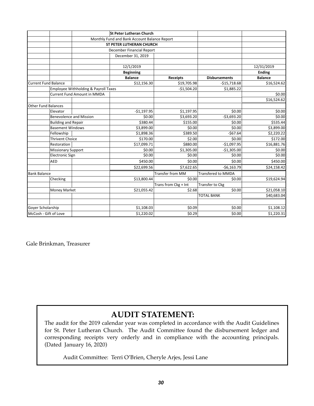|                             |                                      |                                              | <b>St Peter Lutheran Church</b> |                           |                      |                |
|-----------------------------|--------------------------------------|----------------------------------------------|---------------------------------|---------------------------|----------------------|----------------|
|                             |                                      | Monthly Fund and Bank Account Balance Report |                                 |                           |                      |                |
|                             |                                      | <b>ST PETER LUTHERAN CHURCH</b>              |                                 |                           |                      |                |
|                             |                                      | December Financial Report                    |                                 |                           |                      |                |
|                             |                                      |                                              | December 31, 2019               |                           |                      |                |
|                             |                                      |                                              |                                 |                           |                      |                |
|                             |                                      |                                              | 12/1/2019                       |                           |                      | 12/31/2019     |
|                             |                                      |                                              | <b>Beginning</b>                |                           |                      | <b>Ending</b>  |
|                             |                                      |                                              | <b>Balance</b>                  | <b>Receipts</b>           | <b>Disbursements</b> | <b>Balance</b> |
| <b>Current Fund Balance</b> |                                      |                                              | \$12,156.30                     | \$19,705.98               | $-$15,718.68$        | \$16,524.62    |
|                             | Employee Withholding & Payroll Taxes |                                              |                                 | $-$1,504.20$              | \$1,885.22           |                |
|                             |                                      | <b>Current Fund Amount in MMDA</b>           |                                 |                           |                      | \$0.00         |
|                             |                                      |                                              |                                 |                           |                      | \$16,524.62    |
| <b>Other Fund Balances</b>  |                                      |                                              |                                 |                           |                      |                |
|                             | Elevator                             |                                              | $-$1,197.95$                    | \$1,197.95                | \$0.00               | \$0.00         |
|                             |                                      | <b>Benevolence and Mission</b>               | \$0.00                          | \$3,693.20                | $-$3,693.20$         | \$0.00         |
|                             | <b>Building and Repair</b>           |                                              | \$380.44                        | \$155.00                  | \$0.00               | \$535.44       |
|                             | <b>Basement Windows</b>              |                                              | \$3,899.00                      | \$0.00                    | \$0.00               | \$3,899.00     |
|                             | Fellowship                           |                                              | \$1,898.36                      | \$389.50                  | $-567.64$            | \$2,220.22     |
|                             | <b>Thrivent Choice</b>               |                                              | \$170.00                        | \$2.00                    | \$0.00               | \$172.00       |
|                             | Restoration                          |                                              | \$17,099.71                     | \$880.00                  | $-$1,097.95$         | \$16,881.76    |
|                             | <b>Missionary Support</b>            |                                              | \$0.00                          | \$1,305.00                | $-$1,305.00$         | \$0.00         |
|                             | <b>Electronic Sign</b>               |                                              | \$0.00                          | \$0.00                    | \$0.00               | \$0.00         |
|                             | <b>AED</b>                           |                                              | \$450.00                        | \$0.00                    | \$0.00               | \$450.00       |
|                             |                                      |                                              | \$22,699.56                     | \$7,622.65                | $-56, 163.79$        | \$24,158.42    |
| <b>Bank Balance</b>         |                                      |                                              | <b>Transfer from MM</b>         | <b>Transfered to MMDA</b> |                      |                |
|                             | Checking                             |                                              | \$13,800.44                     | \$0.00                    | \$0.00               | \$19,624.94    |
|                             |                                      |                                              |                                 | Trans from Ckg + Int      | Transfer to Ckg      |                |
|                             | <b>Money Market</b>                  |                                              | \$21,055.42                     | \$2.68                    | \$0.00               | \$21,058.10    |
|                             |                                      |                                              |                                 |                           | <b>TOTAL BANK</b>    | \$40,683.04    |
|                             |                                      |                                              |                                 |                           |                      |                |
| Goyer Scholarship           |                                      | \$1,108.03                                   | \$0.09                          | \$0.00                    | \$1,108.12           |                |
| McCosh - Gift of Love       |                                      |                                              | \$1,220.02                      | \$0.29                    | \$0.00               | \$1,220.31     |

Gale Brinkman, Treasurer

### **AUDIT STATEMENT:**

The audit for the 2019 calendar year was completed in accordance with the Audit Guidelines for St. Peter Lutheran Church. The Audit Committee found the disbursement ledger and corresponding receipts very orderly and in compliance with the accounting principals. (Dated January 16, 2020)

Audit Committee: Terri O'Brien, Cheryle Arjes, Jessi Lane Page 1 of 1